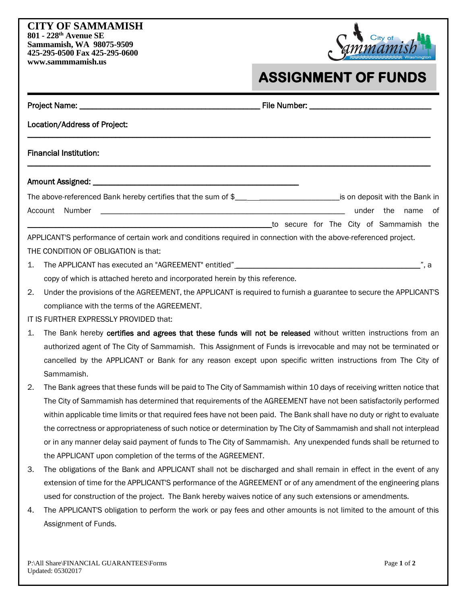## **CITY OF SAMMAMISH 801 - 228th Avenue SE Sammamish, WA 98075-9509 425-295-0500 Fax 425-295-0600 www.sammmamish.us**



## **ASSIGNMENT OF FUNDS**

| Location/Address of Project:                                                |                                                                                                                              |  |  |                                         |  |           |      |       |  |  |
|-----------------------------------------------------------------------------|------------------------------------------------------------------------------------------------------------------------------|--|--|-----------------------------------------|--|-----------|------|-------|--|--|
|                                                                             | <b>Financial Institution:</b>                                                                                                |  |  |                                         |  |           |      |       |  |  |
|                                                                             |                                                                                                                              |  |  |                                         |  |           |      |       |  |  |
|                                                                             | The above-referenced Bank hereby certifies that the sum of \$_________________________________is on deposit with the Bank in |  |  |                                         |  |           |      |       |  |  |
|                                                                             | <u> 2000 - Jan James James Barnett, fransk politik (d. 1888)</u><br>Number<br>Account                                        |  |  |                                         |  | under the | name | of    |  |  |
|                                                                             |                                                                                                                              |  |  | to secure for The City of Sammamish the |  |           |      |       |  |  |
|                                                                             | APPLICANT'S performance of certain work and conditions required in connection with the above-referenced project.             |  |  |                                         |  |           |      |       |  |  |
|                                                                             | THE CONDITION OF OBLIGATION is that:                                                                                         |  |  |                                         |  |           |      |       |  |  |
| 1.                                                                          |                                                                                                                              |  |  |                                         |  |           |      | _", a |  |  |
| copy of which is attached hereto and incorporated herein by this reference. |                                                                                                                              |  |  |                                         |  |           |      |       |  |  |
| 2.                                                                          | Under the provisions of the AGREEMENT, the APPLICANT is required to furnish a guarantee to secure the APPLICANT'S            |  |  |                                         |  |           |      |       |  |  |
|                                                                             | compliance with the terms of the AGREEMENT.                                                                                  |  |  |                                         |  |           |      |       |  |  |
|                                                                             | IT IS FURTHER EXPRESSLY PROVIDED that:                                                                                       |  |  |                                         |  |           |      |       |  |  |
| 1.                                                                          | The Bank hereby certifies and agrees that these funds will not be released without written instructions from an              |  |  |                                         |  |           |      |       |  |  |
|                                                                             | authorized agent of The City of Sammamish. This Assignment of Funds is irrevocable and may not be terminated or              |  |  |                                         |  |           |      |       |  |  |
|                                                                             | cancelled by the APPLICANT or Bank for any reason except upon specific written instructions from The City of                 |  |  |                                         |  |           |      |       |  |  |
|                                                                             | Sammamish.                                                                                                                   |  |  |                                         |  |           |      |       |  |  |
| 2.                                                                          | The Bank agrees that these funds will be paid to The City of Sammamish within 10 days of receiving written notice that       |  |  |                                         |  |           |      |       |  |  |
|                                                                             | The City of Sammamish has determined that requirements of the AGREEMENT have not been satisfactorily performed               |  |  |                                         |  |           |      |       |  |  |
|                                                                             | within applicable time limits or that required fees have not been paid. The Bank shall have no duty or right to evaluate     |  |  |                                         |  |           |      |       |  |  |
|                                                                             | the correctness or appropriateness of such notice or determination by The City of Sammamish and shall not interplead         |  |  |                                         |  |           |      |       |  |  |
|                                                                             | or in any manner delay said payment of funds to The City of Sammamish. Any unexpended funds shall be returned to             |  |  |                                         |  |           |      |       |  |  |
|                                                                             | the APPLICANT upon completion of the terms of the AGREEMENT.                                                                 |  |  |                                         |  |           |      |       |  |  |
| 3.                                                                          | The obligations of the Bank and APPLICANT shall not be discharged and shall remain in effect in the event of any             |  |  |                                         |  |           |      |       |  |  |
|                                                                             | extension of time for the APPLICANT'S performance of the AGREEMENT or of any amendment of the engineering plans              |  |  |                                         |  |           |      |       |  |  |

4. The APPLICANT'S obligation to perform the work or pay fees and other amounts is not limited to the amount of this Assignment of Funds.

used for construction of the project. The Bank hereby waives notice of any such extensions or amendments.